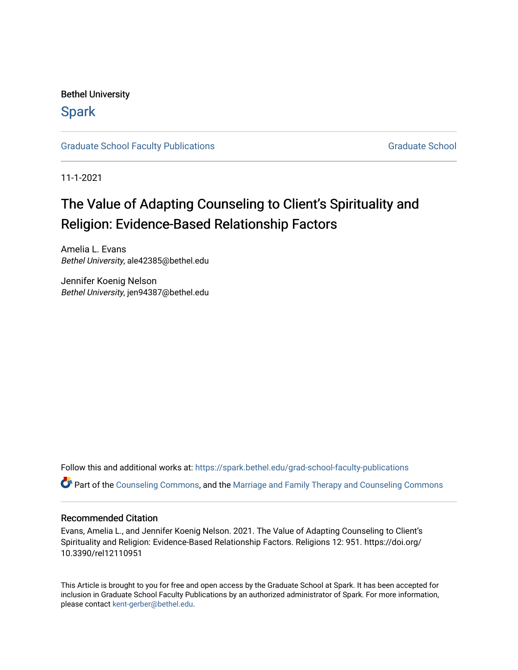Bethel University

# **Spark**

[Graduate School Faculty Publications](https://spark.bethel.edu/grad-school-faculty-publications) [Graduate School](https://spark.bethel.edu/graduate-school) Graduate School

11-1-2021

# The Value of Adapting Counseling to Client's Spirituality and Religion: Evidence-Based Relationship Factors

Amelia L. Evans Bethel University, ale42385@bethel.edu

Jennifer Koenig Nelson Bethel University, jen94387@bethel.edu

Follow this and additional works at: [https://spark.bethel.edu/grad-school-faculty-publications](https://spark.bethel.edu/grad-school-faculty-publications?utm_source=spark.bethel.edu%2Fgrad-school-faculty-publications%2F5&utm_medium=PDF&utm_campaign=PDFCoverPages)

Part of the [Counseling Commons,](http://network.bepress.com/hgg/discipline/1268?utm_source=spark.bethel.edu%2Fgrad-school-faculty-publications%2F5&utm_medium=PDF&utm_campaign=PDFCoverPages) and the [Marriage and Family Therapy and Counseling Commons](http://network.bepress.com/hgg/discipline/715?utm_source=spark.bethel.edu%2Fgrad-school-faculty-publications%2F5&utm_medium=PDF&utm_campaign=PDFCoverPages) 

# Recommended Citation

Evans, Amelia L., and Jennifer Koenig Nelson. 2021. The Value of Adapting Counseling to Client's Spirituality and Religion: Evidence-Based Relationship Factors. Religions 12: 951. https://doi.org/ 10.3390/rel12110951

This Article is brought to you for free and open access by the Graduate School at Spark. It has been accepted for inclusion in Graduate School Faculty Publications by an authorized administrator of Spark. For more information, please contact [kent-gerber@bethel.edu](mailto:kent-gerber@bethel.edu).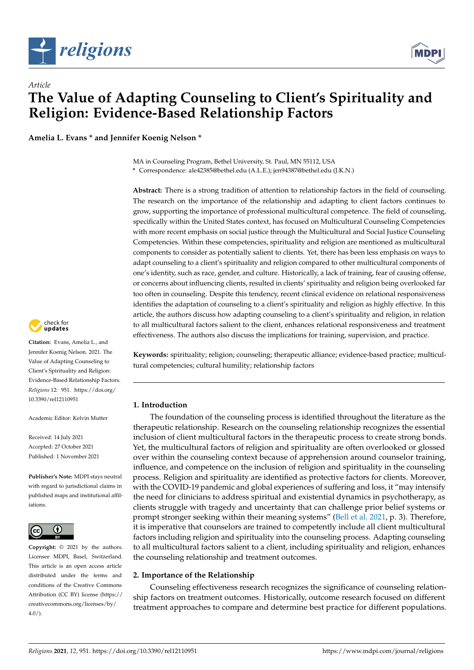



**Amelia L. Evans \* and Jennifer Koenig Nelson \***



**Abstract:** There is a strong tradition of attention to relationship factors in the field of counseling. The research on the importance of the relationship and adapting to client factors continues to grow, supporting the importance of professional multicultural competence. The field of counseling, specifically within the United States context, has focused on Multicultural Counseling Competencies with more recent emphasis on social justice through the Multicultural and Social Justice Counseling Competencies. Within these competencies, spirituality and religion are mentioned as multicultural components to consider as potentially salient to clients. Yet, there has been less emphasis on ways to adapt counseling to a client's spirituality and religion compared to other multicultural components of one's identity, such as race, gender, and culture. Historically, a lack of training, fear of causing offense, or concerns about influencing clients, resulted in clients' spirituality and religion being overlooked far too often in counseling. Despite this tendency, recent clinical evidence on relational responsiveness identifies the adaptation of counseling to a client's spirituality and religion as highly effective. In this article, the authors discuss how adapting counseling to a client's spirituality and religion, in relation to all multicultural factors salient to the client, enhances relational responsiveness and treatment effectiveness. The authors also discuss the implications for training, supervision, and practice.

**Keywords:** spirituality; religion; counseling; therapeutic alliance; evidence-based practice; multicultural competencies; cultural humility; relationship factors

# **1. Introduction**

The foundation of the counseling process is identified throughout the literature as the therapeutic relationship. Research on the counseling relationship recognizes the essential inclusion of client multicultural factors in the therapeutic process to create strong bonds. Yet, the multicultural factors of religion and spirituality are often overlooked or glossed over within the counseling context because of apprehension around counselor training, influence, and competence on the inclusion of religion and spirituality in the counseling process. Religion and spirituality are identified as protective factors for clients. Moreover, with the COVID-19 pandemic and global experiences of suffering and loss, it "may intensify the need for clinicians to address spiritual and existential dynamics in psychotherapy, as clients struggle with tragedy and uncertainty that can challenge prior belief systems or prompt stronger seeking within their meaning systems" [\(Bell et al.](#page-8-0) [2021,](#page-8-0) p. 3). Therefore, it is imperative that counselors are trained to competently include all client multicultural factors including religion and spirituality into the counseling process. Adapting counseling to all multicultural factors salient to a client, including spirituality and religion, enhances the counseling relationship and treatment outcomes.

### **2. Importance of the Relationship**

Counseling effectiveness research recognizes the significance of counseling relationship factors on treatment outcomes. Historically, outcome research focused on different treatment approaches to compare and determine best practice for different populations.



**Citation:** Evans, Amelia L., and Jennifer Koenig Nelson. 2021. The Value of Adapting Counseling to Client's Spirituality and Religion: Evidence-Based Relationship Factors. *Religions* 12: 951. [https://doi.org/](https://doi.org/10.3390/rel12110951) [10.3390/rel12110951](https://doi.org/10.3390/rel12110951)

Academic Editor: Kelvin Mutter

Received: 14 July 2021 Accepted: 27 October 2021 Published: 1 November 2021

**Publisher's Note:** MDPI stays neutral with regard to jurisdictional claims in published maps and institutional affiliations.



**Copyright:** © 2021 by the authors. Licensee MDPI, Basel, Switzerland. This article is an open access article distributed under the terms and conditions of the Creative Commons Attribution (CC BY) license (https:/[/](https://creativecommons.org/licenses/by/4.0/) [creativecommons.org/licenses/by/](https://creativecommons.org/licenses/by/4.0/)  $4.0/$ ).

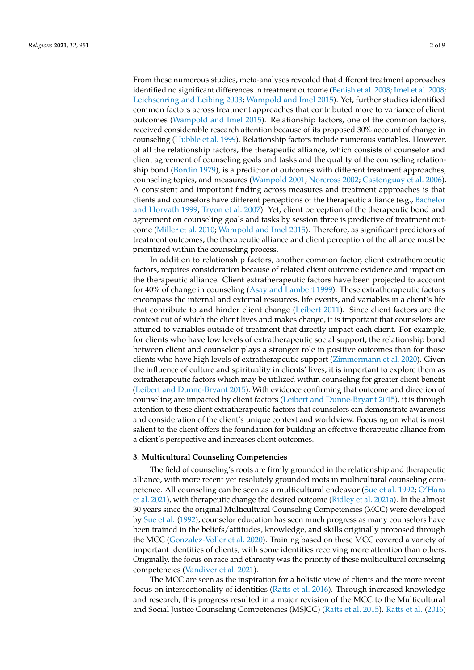From these numerous studies, meta-analyses revealed that different treatment approaches identified no significant differences in treatment outcome [\(Benish et al.](#page-8-1) [2008;](#page-8-1) [Imel et al.](#page-8-2) [2008;](#page-8-2) [Leichsenring and Leibing](#page-8-3) [2003;](#page-8-3) [Wampold and Imel](#page-9-0) [2015\)](#page-9-0). Yet, further studies identified common factors across treatment approaches that contributed more to variance of client outcomes [\(Wampold and Imel](#page-9-0) [2015\)](#page-9-0). Relationship factors, one of the common factors, received considerable research attention because of its proposed 30% account of change in counseling [\(Hubble et al.](#page-8-4) [1999\)](#page-8-4). Relationship factors include numerous variables. However, of all the relationship factors, the therapeutic alliance, which consists of counselor and client agreement of counseling goals and tasks and the quality of the counseling relationship bond [\(Bordin](#page-8-5) [1979\)](#page-8-5), is a predictor of outcomes with different treatment approaches, counseling topics, and measures [\(Wampold](#page-9-1) [2001;](#page-9-1) [Norcross](#page-9-2) [2002;](#page-9-2) [Castonguay et al.](#page-8-6) [2006\)](#page-8-6). A consistent and important finding across measures and treatment approaches is that clients and counselors have different perceptions of the therapeutic alliance (e.g., [Bachelor](#page-8-7) [and Horvath](#page-8-7) [1999;](#page-8-7) [Tryon et al.](#page-9-3) [2007\)](#page-9-3). Yet, client perception of the therapeutic bond and agreement on counseling goals and tasks by session three is predictive of treatment outcome [\(Miller et al.](#page-9-4) [2010;](#page-9-4) [Wampold and Imel](#page-9-0) [2015\)](#page-9-0). Therefore, as significant predictors of treatment outcomes, the therapeutic alliance and client perception of the alliance must be prioritized within the counseling process.

In addition to relationship factors, another common factor, client extratherapeutic factors, requires consideration because of related client outcome evidence and impact on the therapeutic alliance. Client extratherapeutic factors have been projected to account for 40% of change in counseling [\(Asay and Lambert](#page-7-0) [1999\)](#page-7-0). These extratherapeutic factors encompass the internal and external resources, life events, and variables in a client's life that contribute to and hinder client change [\(Leibert](#page-8-8) [2011\)](#page-8-8). Since client factors are the context out of which the client lives and makes change, it is important that counselors are attuned to variables outside of treatment that directly impact each client. For example, for clients who have low levels of extratherapeutic social support, the relationship bond between client and counselor plays a stronger role in positive outcomes than for those clients who have high levels of extratherapeutic support [\(Zimmermann et al.](#page-9-5) [2020\)](#page-9-5). Given the influence of culture and spirituality in clients' lives, it is important to explore them as extratherapeutic factors which may be utilized within counseling for greater client benefit [\(Leibert and Dunne-Bryant](#page-8-9) [2015\)](#page-8-9). With evidence confirming that outcome and direction of counseling are impacted by client factors [\(Leibert and Dunne-Bryant](#page-8-9) [2015\)](#page-8-9), it is through attention to these client extratherapeutic factors that counselors can demonstrate awareness and consideration of the client's unique context and worldview. Focusing on what is most salient to the client offers the foundation for building an effective therapeutic alliance from a client's perspective and increases client outcomes.

### **3. Multicultural Counseling Competencies**

The field of counseling's roots are firmly grounded in the relationship and therapeutic alliance, with more recent yet resolutely grounded roots in multicultural counseling competence. All counseling can be seen as a multicultural endeavor [\(Sue et al.](#page-9-6) [1992;](#page-9-6) [O'Hara](#page-9-7) [et al.](#page-9-7) [2021\)](#page-9-7), with therapeutic change the desired outcome [\(Ridley et al.](#page-9-8) [2021a\)](#page-9-8). In the almost 30 years since the original Multicultural Counseling Competencies (MCC) were developed by [Sue et al.](#page-9-6) [\(1992\)](#page-9-6), counselor education has seen much progress as many counselors have been trained in the beliefs/attitudes, knowledge, and skills originally proposed through the MCC [\(Gonzalez-Voller et al.](#page-8-10) [2020\)](#page-8-10). Training based on these MCC covered a variety of important identities of clients, with some identities receiving more attention than others. Originally, the focus on race and ethnicity was the priority of these multicultural counseling competencies [\(Vandiver et al.](#page-9-9) [2021\)](#page-9-9).

The MCC are seen as the inspiration for a holistic view of clients and the more recent focus on intersectionality of identities [\(Ratts et al.](#page-9-10) [2016\)](#page-9-10). Through increased knowledge and research, this progress resulted in a major revision of the MCC to the Multicultural and Social Justice Counseling Competencies (MSJCC) [\(Ratts et al.](#page-9-11) [2015\)](#page-9-11). [Ratts et al.](#page-9-10) [\(2016\)](#page-9-10)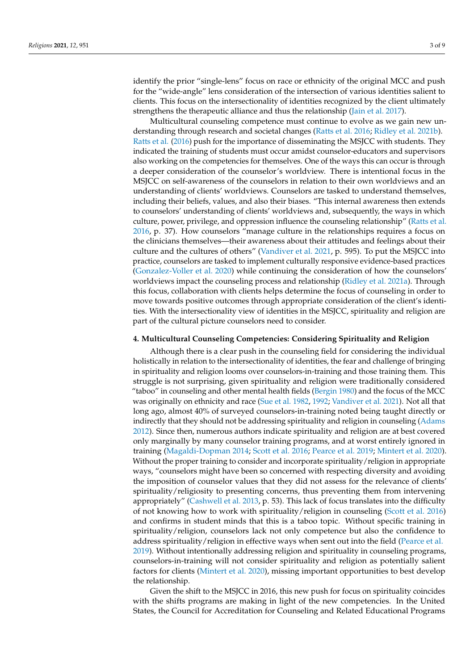identify the prior "single-lens" focus on race or ethnicity of the original MCC and push for the "wide-angle" lens consideration of the intersection of various identities salient to clients. This focus on the intersectionality of identities recognized by the client ultimately strengthens the therapeutic alliance and thus the relationship [\(Jain et al.](#page-8-11) [2017\)](#page-8-11).

Multicultural counseling competence must continue to evolve as we gain new understanding through research and societal changes [\(Ratts et al.](#page-9-10) [2016;](#page-9-10) [Ridley et al.](#page-9-12) [2021b\)](#page-9-12). [Ratts et al.](#page-9-10) [\(2016\)](#page-9-10) push for the importance of disseminating the MSJCC with students. They indicated the training of students must occur amidst counselor-educators and supervisors also working on the competencies for themselves. One of the ways this can occur is through a deeper consideration of the counselor's worldview. There is intentional focus in the MSJCC on self-awareness of the counselors in relation to their own worldviews and an understanding of clients' worldviews. Counselors are tasked to understand themselves, including their beliefs, values, and also their biases. "This internal awareness then extends to counselors' understanding of clients' worldviews and, subsequently, the ways in which culture, power, privilege, and oppression influence the counseling relationship" [\(Ratts et al.](#page-9-10) [2016,](#page-9-10) p. 37). How counselors "manage culture in the relationships requires a focus on the clinicians themselves—their awareness about their attitudes and feelings about their culture and the cultures of others" [\(Vandiver et al.](#page-9-9) [2021,](#page-9-9) p. 595). To put the MSJCC into practice, counselors are tasked to implement culturally responsive evidence-based practices [\(Gonzalez-Voller et al.](#page-8-10) [2020\)](#page-8-10) while continuing the consideration of how the counselors' worldviews impact the counseling process and relationship [\(Ridley et al.](#page-9-8) [2021a\)](#page-9-8). Through this focus, collaboration with clients helps determine the focus of counseling in order to move towards positive outcomes through appropriate consideration of the client's identities. With the intersectionality view of identities in the MSJCC, spirituality and religion are part of the cultural picture counselors need to consider.

#### **4. Multicultural Counseling Competencies: Considering Spirituality and Religion**

Although there is a clear push in the counseling field for considering the individual holistically in relation to the intersectionality of identities, the fear and challenge of bringing in spirituality and religion looms over counselors-in-training and those training them. This struggle is not surprising, given spirituality and religion were traditionally considered "taboo" in counseling and other mental health fields [\(Bergin](#page-8-12) [1980\)](#page-8-12) and the focus of the MCC was originally on ethnicity and race [\(Sue et al.](#page-9-13) [1982,](#page-9-13) [1992;](#page-9-6) [Vandiver et al.](#page-9-9) [2021\)](#page-9-9). Not all that long ago, almost 40% of surveyed counselors-in-training noted being taught directly or indirectly that they should not be addressing spirituality and religion in counseling [\(Adams](#page-7-1) [2012\)](#page-7-1). Since then, numerous authors indicate spirituality and religion are at best covered only marginally by many counselor training programs, and at worst entirely ignored in training [\(Magaldi-Dopman](#page-8-13) [2014;](#page-8-13) [Scott et al.](#page-9-14) [2016;](#page-9-14) [Pearce et al.](#page-9-15) [2019;](#page-9-15) [Mintert et al.](#page-9-16) [2020\)](#page-9-16). Without the proper training to consider and incorporate spirituality/religion in appropriate ways, "counselors might have been so concerned with respecting diversity and avoiding the imposition of counselor values that they did not assess for the relevance of clients' spirituality/religiosity to presenting concerns, thus preventing them from intervening appropriately" [\(Cashwell et al.](#page-8-14) [2013,](#page-8-14) p. 53). This lack of focus translates into the difficulty of not knowing how to work with spirituality/religion in counseling [\(Scott et al.](#page-9-14) [2016\)](#page-9-14) and confirms in student minds that this is a taboo topic. Without specific training in spirituality/religion, counselors lack not only competence but also the confidence to address spirituality/religion in effective ways when sent out into the field [\(Pearce et al.](#page-9-15) [2019\)](#page-9-15). Without intentionally addressing religion and spirituality in counseling programs, counselors-in-training will not consider spirituality and religion as potentially salient factors for clients [\(Mintert et al.](#page-9-16) [2020\)](#page-9-16), missing important opportunities to best develop the relationship.

Given the shift to the MSJCC in 2016, this new push for focus on spirituality coincides with the shifts programs are making in light of the new competencies. In the United States, the Council for Accreditation for Counseling and Related Educational Programs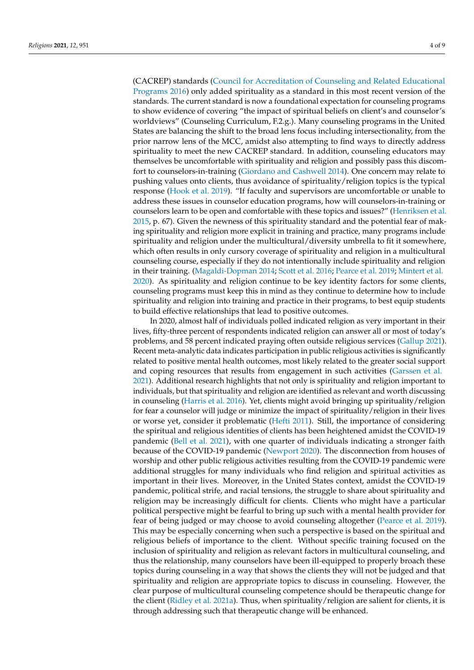(CACREP) standards [\(Council for Accreditation of Counseling and Related Educational](#page-8-15) [Programs](#page-8-15) [2016\)](#page-8-15) only added spirituality as a standard in this most recent version of the standards. The current standard is now a foundational expectation for counseling programs to show evidence of covering "the impact of spiritual beliefs on client's and counselor's worldviews" (Counseling Curriculum, F.2.g.). Many counseling programs in the United States are balancing the shift to the broad lens focus including intersectionality, from the prior narrow lens of the MCC, amidst also attempting to find ways to directly address spirituality to meet the new CACREP standard. In addition, counseling educators may themselves be uncomfortable with spirituality and religion and possibly pass this discomfort to counselors-in-training [\(Giordano and Cashwell](#page-8-16) [2014\)](#page-8-16). One concern may relate to pushing values onto clients, thus avoidance of spirituality/religion topics is the typical response [\(Hook et al.](#page-8-17) [2019\)](#page-8-17). "If faculty and supervisors are uncomfortable or unable to address these issues in counselor education programs, how will counselors-in-training or counselors learn to be open and comfortable with these topics and issues?" [\(Henriksen et al.](#page-8-18) [2015,](#page-8-18) p. 67). Given the newness of this spirituality standard and the potential fear of making spirituality and religion more explicit in training and practice, many programs include spirituality and religion under the multicultural/diversity umbrella to fit it somewhere, which often results in only cursory coverage of spirituality and religion in a multicultural counseling course, especially if they do not intentionally include spirituality and religion in their training. [\(Magaldi-Dopman](#page-8-13) [2014;](#page-8-13) [Scott et al.](#page-9-14) [2016;](#page-9-14) [Pearce et al.](#page-9-15) [2019;](#page-9-15) [Mintert et al.](#page-9-16) [2020\)](#page-9-16). As spirituality and religion continue to be key identity factors for some clients, counseling programs must keep this in mind as they continue to determine how to include spirituality and religion into training and practice in their programs, to best equip students to build effective relationships that lead to positive outcomes.

In 2020, almost half of individuals polled indicated religion as very important in their lives, fifty-three percent of respondents indicated religion can answer all or most of today's problems, and 58 percent indicated praying often outside religious services [\(Gallup](#page-8-19) [2021\)](#page-8-19). Recent meta-analytic data indicates participation in public religious activities is significantly related to positive mental health outcomes, most likely related to the greater social support and coping resources that results from engagement in such activities [\(Garssen et al.](#page-8-20) [2021\)](#page-8-20). Additional research highlights that not only is spirituality and religion important to individuals, but that spirituality and religion are identified as relevant and worth discussing in counseling [\(Harris et al.](#page-8-21) [2016\)](#page-8-21). Yet, clients might avoid bringing up spirituality/religion for fear a counselor will judge or minimize the impact of spirituality/religion in their lives or worse yet, consider it problematic [\(Hefti](#page-8-22) [2011\)](#page-8-22). Still, the importance of considering the spiritual and religious identities of clients has been heightened amidst the COVID-19 pandemic [\(Bell et al.](#page-8-0) [2021\)](#page-8-0), with one quarter of individuals indicating a stronger faith because of the COVID-19 pandemic [\(Newport](#page-9-17) [2020\)](#page-9-17). The disconnection from houses of worship and other public religious activities resulting from the COVID-19 pandemic were additional struggles for many individuals who find religion and spiritual activities as important in their lives. Moreover, in the United States context, amidst the COVID-19 pandemic, political strife, and racial tensions, the struggle to share about spirituality and religion may be increasingly difficult for clients. Clients who might have a particular political perspective might be fearful to bring up such with a mental health provider for fear of being judged or may choose to avoid counseling altogether [\(Pearce et al.](#page-9-15) [2019\)](#page-9-15). This may be especially concerning when such a perspective is based on the spiritual and religious beliefs of importance to the client. Without specific training focused on the inclusion of spirituality and religion as relevant factors in multicultural counseling, and thus the relationship, many counselors have been ill-equipped to properly broach these topics during counseling in a way that shows the clients they will not be judged and that spirituality and religion are appropriate topics to discuss in counseling. However, the clear purpose of multicultural counseling competence should be therapeutic change for the client [\(Ridley et al.](#page-9-8) [2021a\)](#page-9-8). Thus, when spirituality/religion are salient for clients, it is through addressing such that therapeutic change will be enhanced.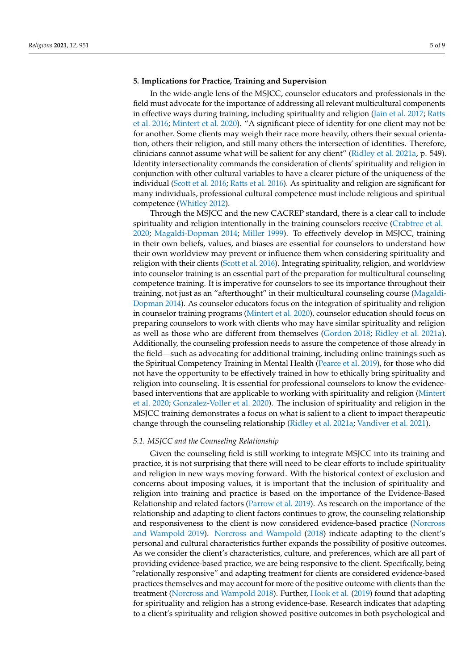## **5. Implications for Practice, Training and Supervision**

In the wide-angle lens of the MSJCC, counselor educators and professionals in the field must advocate for the importance of addressing all relevant multicultural components in effective ways during training, including spirituality and religion [\(Jain et al.](#page-8-11) [2017;](#page-8-11) [Ratts](#page-9-10) [et al.](#page-9-10) [2016;](#page-9-10) [Mintert et al.](#page-9-16) [2020\)](#page-9-16). "A significant piece of identity for one client may not be for another. Some clients may weigh their race more heavily, others their sexual orientation, others their religion, and still many others the intersection of identities. Therefore, clinicians cannot assume what will be salient for any client" [\(Ridley et al.](#page-9-8) [2021a,](#page-9-8) p. 549). Identity intersectionality commands the consideration of clients' spirituality and religion in conjunction with other cultural variables to have a clearer picture of the uniqueness of the individual [\(Scott et al.](#page-9-14) [2016;](#page-9-14) [Ratts et al.](#page-9-10) [2016\)](#page-9-10). As spirituality and religion are significant for many individuals, professional cultural competence must include religious and spiritual competence [\(Whitley](#page-9-18) [2012\)](#page-9-18).

Through the MSJCC and the new CACREP standard, there is a clear call to include spirituality and religion intentionally in the training counselors receive [\(Crabtree et al.](#page-8-23) [2020;](#page-8-23) [Magaldi-Dopman](#page-8-13) [2014;](#page-8-13) [Miller](#page-8-24) [1999\)](#page-8-24). To effectively develop in MSJCC, training in their own beliefs, values, and biases are essential for counselors to understand how their own worldview may prevent or influence them when considering spirituality and religion with their clients [\(Scott et al.](#page-9-14) [2016\)](#page-9-14). Integrating spirituality, religion, and worldview into counselor training is an essential part of the preparation for multicultural counseling competence training. It is imperative for counselors to see its importance throughout their training, not just as an "afterthought" in their multicultural counseling course [\(Magaldi-](#page-8-13)[Dopman](#page-8-13) [2014\)](#page-8-13). As counselor educators focus on the integration of spirituality and religion in counselor training programs [\(Mintert et al.](#page-9-16) [2020\)](#page-9-16), counselor education should focus on preparing counselors to work with clients who may have similar spirituality and religion as well as those who are different from themselves [\(Gordon](#page-8-25) [2018;](#page-8-25) [Ridley et al.](#page-9-8) [2021a\)](#page-9-8). Additionally, the counseling profession needs to assure the competence of those already in the field—such as advocating for additional training, including online trainings such as the Spiritual Competency Training in Mental Health [\(Pearce et al.](#page-9-15) [2019\)](#page-9-15), for those who did not have the opportunity to be effectively trained in how to ethically bring spirituality and religion into counseling. It is essential for professional counselors to know the evidencebased interventions that are applicable to working with spirituality and religion [\(Mintert](#page-9-16) [et al.](#page-9-16) [2020;](#page-9-16) [Gonzalez-Voller et al.](#page-8-10) [2020\)](#page-8-10). The inclusion of spirituality and religion in the MSJCC training demonstrates a focus on what is salient to a client to impact therapeutic change through the counseling relationship [\(Ridley et al.](#page-9-8) [2021a;](#page-9-8) [Vandiver et al.](#page-9-9) [2021\)](#page-9-9).

#### *5.1. MSJCC and the Counseling Relationship*

Given the counseling field is still working to integrate MSJCC into its training and practice, it is not surprising that there will need to be clear efforts to include spirituality and religion in new ways moving forward. With the historical context of exclusion and concerns about imposing values, it is important that the inclusion of spirituality and religion into training and practice is based on the importance of the Evidence-Based Relationship and related factors [\(Parrow et al.](#page-9-19) [2019\)](#page-9-19). As research on the importance of the relationship and adapting to client factors continues to grow, the counseling relationship and responsiveness to the client is now considered evidence-based practice [\(Norcross](#page-9-20) [and Wampold](#page-9-20) [2019\)](#page-9-20). [Norcross and Wampold](#page-9-21) [\(2018\)](#page-9-21) indicate adapting to the client's personal and cultural characteristics further expands the possibility of positive outcomes. As we consider the client's characteristics, culture, and preferences, which are all part of providing evidence-based practice, we are being responsive to the client. Specifically, being "relationally responsive" and adapting treatment for clients are considered evidence-based practices themselves and may account for more of the positive outcome with clients than the treatment [\(Norcross and Wampold](#page-9-21) [2018\)](#page-9-21). Further, [Hook et al.](#page-8-17) [\(2019\)](#page-8-17) found that adapting for spirituality and religion has a strong evidence-base. Research indicates that adapting to a client's spirituality and religion showed positive outcomes in both psychological and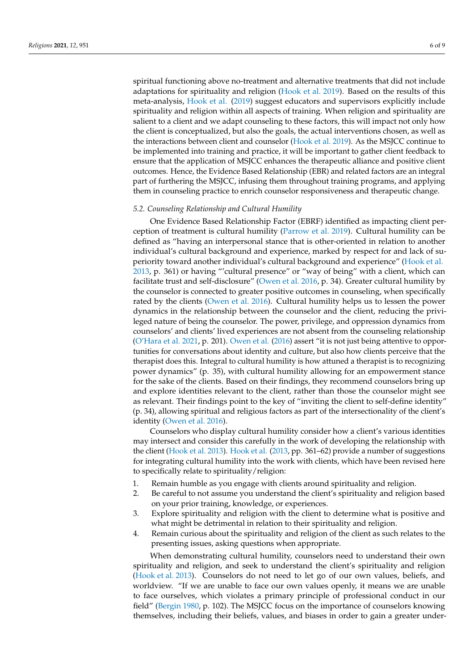spiritual functioning above no-treatment and alternative treatments that did not include adaptations for spirituality and religion [\(Hook et al.](#page-8-17) [2019\)](#page-8-17). Based on the results of this meta-analysis, [Hook et al.](#page-8-17) [\(2019\)](#page-8-17) suggest educators and supervisors explicitly include spirituality and religion within all aspects of training. When religion and spirituality are salient to a client and we adapt counseling to these factors, this will impact not only how the client is conceptualized, but also the goals, the actual interventions chosen, as well as the interactions between client and counselor [\(Hook et al.](#page-8-17) [2019\)](#page-8-17). As the MSJCC continue to be implemented into training and practice, it will be important to gather client feedback to ensure that the application of MSJCC enhances the therapeutic alliance and positive client outcomes. Hence, the Evidence Based Relationship (EBR) and related factors are an integral part of furthering the MSJCC, infusing them throughout training programs, and applying them in counseling practice to enrich counselor responsiveness and therapeutic change.

### *5.2. Counseling Relationship and Cultural Humility*

One Evidence Based Relationship Factor (EBRF) identified as impacting client perception of treatment is cultural humility [\(Parrow et al.](#page-9-19) [2019\)](#page-9-19). Cultural humility can be defined as "having an interpersonal stance that is other-oriented in relation to another individual's cultural background and experience, marked by respect for and lack of superiority toward another individual's cultural background and experience" [\(Hook et al.](#page-8-26) [2013,](#page-8-26) p. 361) or having "'cultural presence" or "way of being" with a client, which can facilitate trust and self-disclosure" [\(Owen et al.](#page-9-22) [2016,](#page-9-22) p. 34). Greater cultural humility by the counselor is connected to greater positive outcomes in counseling, when specifically rated by the clients [\(Owen et al.](#page-9-22) [2016\)](#page-9-22). Cultural humility helps us to lessen the power dynamics in the relationship between the counselor and the client, reducing the privileged nature of being the counselor. The power, privilege, and oppression dynamics from counselors' and clients' lived experiences are not absent from the counseling relationship [\(O'Hara et al.](#page-9-7) [2021,](#page-9-7) p. 201). [Owen et al.](#page-9-22) [\(2016\)](#page-9-22) assert "it is not just being attentive to opportunities for conversations about identity and culture, but also how clients perceive that the therapist does this. Integral to cultural humility is how attuned a therapist is to recognizing power dynamics" (p. 35), with cultural humility allowing for an empowerment stance for the sake of the clients. Based on their findings, they recommend counselors bring up and explore identities relevant to the client, rather than those the counselor might see as relevant. Their findings point to the key of "inviting the client to self-define identity" (p. 34), allowing spiritual and religious factors as part of the intersectionality of the client's identity [\(Owen et al.](#page-9-22) [2016\)](#page-9-22).

Counselors who display cultural humility consider how a client's various identities may intersect and consider this carefully in the work of developing the relationship with the client [\(Hook et al.](#page-8-26) [2013\)](#page-8-26). [Hook et al.](#page-8-26) [\(2013,](#page-8-26) pp. 361–62) provide a number of suggestions for integrating cultural humility into the work with clients, which have been revised here to specifically relate to spirituality/religion:

- 1. Remain humble as you engage with clients around spirituality and religion.
- 2. Be careful to not assume you understand the client's spirituality and religion based on your prior training, knowledge, or experiences.
- 3. Explore spirituality and religion with the client to determine what is positive and what might be detrimental in relation to their spirituality and religion.
- 4. Remain curious about the spirituality and religion of the client as such relates to the presenting issues, asking questions when appropriate.

When demonstrating cultural humility, counselors need to understand their own spirituality and religion, and seek to understand the client's spirituality and religion [\(Hook et al.](#page-8-26) [2013\)](#page-8-26). Counselors do not need to let go of our own values, beliefs, and worldview. "If we are unable to face our own values openly, it means we are unable to face ourselves, which violates a primary principle of professional conduct in our field" [\(Bergin](#page-8-12) [1980,](#page-8-12) p. 102). The MSJCC focus on the importance of counselors knowing themselves, including their beliefs, values, and biases in order to gain a greater under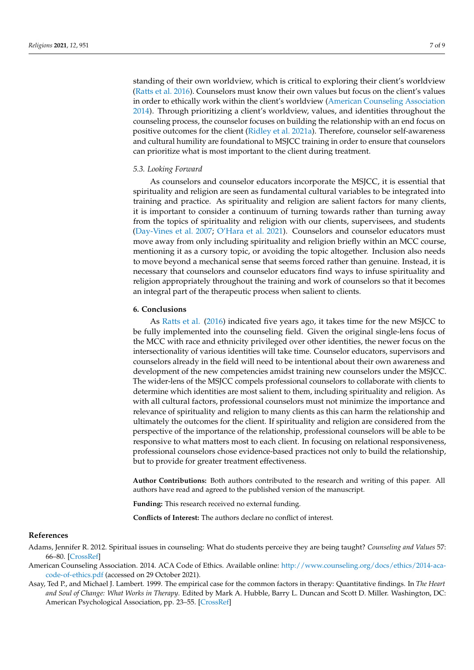standing of their own worldview, which is critical to exploring their client's worldview [\(Ratts et al.](#page-9-10) [2016\)](#page-9-10). Counselors must know their own values but focus on the client's values in order to ethically work within the client's worldview [\(American Counseling Association](#page-7-2) [2014\)](#page-7-2). Through prioritizing a client's worldview, values, and identities throughout the counseling process, the counselor focuses on building the relationship with an end focus on positive outcomes for the client [\(Ridley et al.](#page-9-8) [2021a\)](#page-9-8). Therefore, counselor self-awareness and cultural humility are foundational to MSJCC training in order to ensure that counselors can prioritize what is most important to the client during treatment.

#### *5.3. Looking Forward*

As counselors and counselor educators incorporate the MSJCC, it is essential that spirituality and religion are seen as fundamental cultural variables to be integrated into training and practice. As spirituality and religion are salient factors for many clients, it is important to consider a continuum of turning towards rather than turning away from the topics of spirituality and religion with our clients, supervisees, and students [\(Day-Vines et al.](#page-8-27) [2007;](#page-8-27) [O'Hara et al.](#page-9-7) [2021\)](#page-9-7). Counselors and counselor educators must move away from only including spirituality and religion briefly within an MCC course, mentioning it as a cursory topic, or avoiding the topic altogether. Inclusion also needs to move beyond a mechanical sense that seems forced rather than genuine. Instead, it is necessary that counselors and counselor educators find ways to infuse spirituality and religion appropriately throughout the training and work of counselors so that it becomes an integral part of the therapeutic process when salient to clients.

#### **6. Conclusions**

As [Ratts et al.](#page-9-10) [\(2016\)](#page-9-10) indicated five years ago, it takes time for the new MSJCC to be fully implemented into the counseling field. Given the original single-lens focus of the MCC with race and ethnicity privileged over other identities, the newer focus on the intersectionality of various identities will take time. Counselor educators, supervisors and counselors already in the field will need to be intentional about their own awareness and development of the new competencies amidst training new counselors under the MSJCC. The wider-lens of the MSJCC compels professional counselors to collaborate with clients to determine which identities are most salient to them, including spirituality and religion. As with all cultural factors, professional counselors must not minimize the importance and relevance of spirituality and religion to many clients as this can harm the relationship and ultimately the outcomes for the client. If spirituality and religion are considered from the perspective of the importance of the relationship, professional counselors will be able to be responsive to what matters most to each client. In focusing on relational responsiveness, professional counselors chose evidence-based practices not only to build the relationship, but to provide for greater treatment effectiveness.

**Author Contributions:** Both authors contributed to the research and writing of this paper. All authors have read and agreed to the published version of the manuscript.

**Funding:** This research received no external funding.

**Conflicts of Interest:** The authors declare no conflict of interest.

### **References**

<span id="page-7-1"></span>Adams, Jennifer R. 2012. Spiritual issues in counseling: What do students perceive they are being taught? *Counseling and Values* 57: 66–80. [\[CrossRef\]](http://doi.org/10.1002/j.2161-007X.2012.00009.x)

<span id="page-7-2"></span>American Counseling Association. 2014. ACA Code of Ethics. Available online: [http://www.counseling.org/docs/ethics/2014-aca](http://www.counseling.org/docs/ethics/2014-aca-code-of-ethics.pdf)[code-of-ethics.pdf](http://www.counseling.org/docs/ethics/2014-aca-code-of-ethics.pdf) (accessed on 29 October 2021).

<span id="page-7-0"></span>Asay, Ted P., and Michael J. Lambert. 1999. The empirical case for the common factors in therapy: Quantitative findings. In *The Heart and Soul of Change: What Works in Therapy*. Edited by Mark A. Hubble, Barry L. Duncan and Scott D. Miller. Washington, DC: American Psychological Association, pp. 23–55. [\[CrossRef\]](http://doi.org/10.1037/11132-001)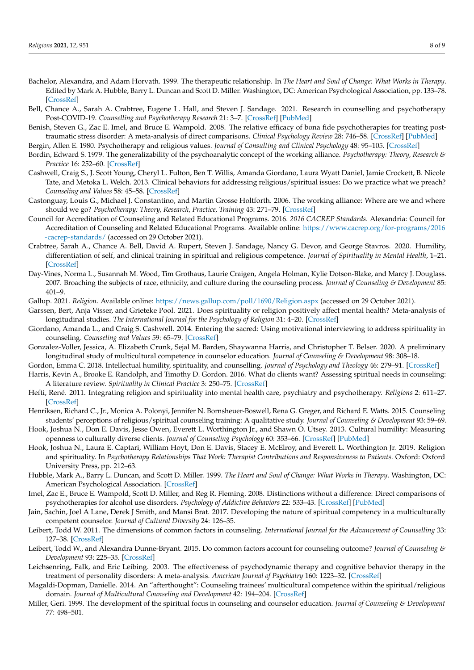- <span id="page-8-7"></span>Bachelor, Alexandra, and Adam Horvath. 1999. The therapeutic relationship. In *The Heart and Soul of Change: What Works in Therapy*. Edited by Mark A. Hubble, Barry L. Duncan and Scott D. Miller. Washington, DC: American Psychological Association, pp. 133–78. [\[CrossRef\]](http://doi.org/10.1037/11132-004)
- <span id="page-8-0"></span>Bell, Chance A., Sarah A. Crabtree, Eugene L. Hall, and Steven J. Sandage. 2021. Research in counselling and psychotherapy Post-COVID-19. *Counselling and Psychotherapy Research* 21: 3–7. [\[CrossRef\]](http://doi.org/10.1002/capr.12334) [\[PubMed\]](http://www.ncbi.nlm.nih.gov/pubmed/32837330)
- <span id="page-8-1"></span>Benish, Steven G., Zac E. Imel, and Bruce E. Wampold. 2008. The relative efficacy of bona fide psychotherapies for treating posttraumatic stress disorder: A meta-analysis of direct comparisons. *Clinical Psychology Review* 28: 746–58. [\[CrossRef\]](http://doi.org/10.1016/j.cpr.2007.10.005) [\[PubMed\]](http://www.ncbi.nlm.nih.gov/pubmed/18055080)
- <span id="page-8-12"></span>Bergin, Allen E. 1980. Psychotherapy and religious values. *Journal of Consulting and Clinical Psychology* 48: 95–105. [\[CrossRef\]](http://doi.org/10.1037/0022-006X.48.1.95)
- <span id="page-8-5"></span>Bordin, Edward S. 1979. The generalizability of the psychoanalytic concept of the working alliance. *Psychotherapy: Theory, Research & Practice* 16: 252–60. [\[CrossRef\]](http://doi.org/10.1037/h0085885)
- <span id="page-8-14"></span>Cashwell, Craig S., J. Scott Young, Cheryl L. Fulton, Ben T. Willis, Amanda Giordano, Laura Wyatt Daniel, Jamie Crockett, B. Nicole Tate, and Metoka L. Welch. 2013. Clinical behaviors for addressing religious/spiritual issues: Do we practice what we preach? *Counseling and Values* 58: 45–58. [\[CrossRef\]](http://doi.org/10.1002/j.2161-007X.2013.00024.x)
- <span id="page-8-6"></span>Castonguay, Louis G., Michael J. Constantino, and Martin Grosse Holtforth. 2006. The working alliance: Where are we and where should we go? *Psychotherapy: Theory, Research, Practice, Training* 43: 271–79. [\[CrossRef\]](http://doi.org/10.1037/0033-3204.43.3.271)
- <span id="page-8-15"></span>Council for Accreditation of Counseling and Related Educational Programs. 2016. *2016 CACREP Standards*. Alexandria: Council for Accreditation of Counseling and Related Educational Programs. Available online: [https://www.cacrep.org/for-programs/2016](https://www.cacrep.org/for-programs/2016-cacrep-standards/) [-cacrep-standards/](https://www.cacrep.org/for-programs/2016-cacrep-standards/) (accessed on 29 October 2021).
- <span id="page-8-23"></span>Crabtree, Sarah A., Chance A. Bell, David A. Rupert, Steven J. Sandage, Nancy G. Devor, and George Stavros. 2020. Humility, differentiation of self, and clinical training in spiritual and religious competence. *Journal of Spirituality in Mental Health*, 1–21. [\[CrossRef\]](http://doi.org/10.1080/19349637.2020.1737627)
- <span id="page-8-27"></span>Day-Vines, Norma L., Susannah M. Wood, Tim Grothaus, Laurie Craigen, Angela Holman, Kylie Dotson-Blake, and Marcy J. Douglass. 2007. Broaching the subjects of race, ethnicity, and culture during the counseling process. *Journal of Counseling & Development* 85: 401–9.
- <span id="page-8-19"></span>Gallup. 2021. *Religion*. Available online: <https://news.gallup.com/poll/1690/Religion.aspx> (accessed on 29 October 2021).
- <span id="page-8-20"></span>Garssen, Bert, Anja Visser, and Grieteke Pool. 2021. Does spirituality or religion positively affect mental health? Meta-analysis of longitudinal studies. *The International Journal for the Psychology of Religion* 31: 4–20. [\[CrossRef\]](http://doi.org/10.1080/10508619.2020.1729570)
- <span id="page-8-16"></span>Giordano, Amanda L., and Craig S. Cashwell. 2014. Entering the sacred: Using motivational interviewing to address spirituality in counseling. *Counseling and Values* 59: 65–79. [\[CrossRef\]](http://doi.org/10.1002/j.2161-007X.2014.00042.x)
- <span id="page-8-10"></span>Gonzalez-Voller, Jessica, A. Elizabeth Crunk, Sejal M. Barden, Shaywanna Harris, and Christopher T. Belser. 2020. A preliminary longitudinal study of multicultural competence in counselor education. *Journal of Counseling & Development* 98: 308–18.
- <span id="page-8-25"></span><span id="page-8-21"></span>Gordon, Emma C. 2018. Intellectual humility, spirituality, and counselling. *Journal of Psychology and Theology* 46: 279–91. [\[CrossRef\]](http://doi.org/10.1177/0091647118807185)
- Harris, Kevin A., Brooke E. Randolph, and Timothy D. Gordon. 2016. What do clients want? Assessing spiritual needs in counseling: A literature review. *Spirituality in Clinical Practice* 3: 250–75. [\[CrossRef\]](http://doi.org/10.1037/scp0000108)
- <span id="page-8-22"></span>Hefti, René. 2011. Integrating religion and spirituality into mental health care, psychiatry and psychotherapy. *Religions* 2: 611–27. [\[CrossRef\]](http://doi.org/10.3390/rel2040611)
- <span id="page-8-18"></span>Henriksen, Richard C., Jr., Monica A. Polonyi, Jennifer N. Bornsheuer-Boswell, Rena G. Greger, and Richard E. Watts. 2015. Counseling students' perceptions of religious/spiritual counseling training: A qualitative study. *Journal of Counseling & Development* 93: 59–69.
- <span id="page-8-26"></span>Hook, Joshua N., Don E. Davis, Jesse Owen, Everett L. Worthington Jr., and Shawn O. Utsey. 2013. Cultural humility: Measuring openness to culturally diverse clients. *Journal of Counseling Psychology* 60: 353–66. [\[CrossRef\]](http://doi.org/10.1037/a0032595) [\[PubMed\]](http://www.ncbi.nlm.nih.gov/pubmed/23647387)
- <span id="page-8-17"></span>Hook, Joshua N., Laura E. Captari, William Hoyt, Don E. Davis, Stacey E. McElroy, and Everett L. Worthington Jr. 2019. Religion and spirituality. In *Psychotherapy Relationships That Work: Therapist Contributions and Responsiveness to Patients*. Oxford: Oxford University Press, pp. 212–63.
- <span id="page-8-4"></span>Hubble, Mark A., Barry L. Duncan, and Scott D. Miller. 1999. *The Heart and Soul of Change: What Works in Therapy*. Washington, DC: American Psychological Association. [\[CrossRef\]](http://doi.org/10.1037/11132-000)
- <span id="page-8-2"></span>Imel, Zac E., Bruce E. Wampold, Scott D. Miller, and Reg R. Fleming. 2008. Distinctions without a difference: Direct comparisons of psychotherapies for alcohol use disorders. *Psychology of Addictive Behaviors* 22: 533–43. [\[CrossRef\]](http://doi.org/10.1037/a0013171) [\[PubMed\]](http://www.ncbi.nlm.nih.gov/pubmed/19071978)
- <span id="page-8-11"></span>Jain, Sachin, Joel A Lane, Derek J Smith, and Mansi Brat. 2017. Developing the nature of spiritual competency in a multiculturally competent counselor. *Journal of Cultural Diversity* 24: 126–35.
- <span id="page-8-8"></span>Leibert, Todd W. 2011. The dimensions of common factors in counseling. *International Journal for the Advancement of Counselling* 33: 127–38. [\[CrossRef\]](http://doi.org/10.1007/s10447-011-9115-7)
- <span id="page-8-9"></span>Leibert, Todd W., and Alexandra Dunne-Bryant. 2015. Do common factors account for counseling outcome? *Journal of Counseling & Development* 93: 225–35. [\[CrossRef\]](http://doi.org/10.1002/j.1556-6676.2015.00198.x)
- <span id="page-8-3"></span>Leichsenring, Falk, and Eric Leibing. 2003. The effectiveness of psychodynamic therapy and cognitive behavior therapy in the treatment of personality disorders: A meta-analysis. *American Journal of Psychiatry* 160: 1223–32. [\[CrossRef\]](http://doi.org/10.1176/appi.ajp.160.7.1223)
- <span id="page-8-13"></span>Magaldi-Dopman, Danielle. 2014. An "afterthought": Counseling trainees' multicultural competence within the spiritual/religious domain. *Journal of Multicultural Counseling and Development* 42: 194–204. [\[CrossRef\]](http://doi.org/10.1002/j.2161-1912.2014.00054.x)
- <span id="page-8-24"></span>Miller, Geri. 1999. The development of the spiritual focus in counseling and counselor education. *Journal of Counseling & Development* 77: 498–501.